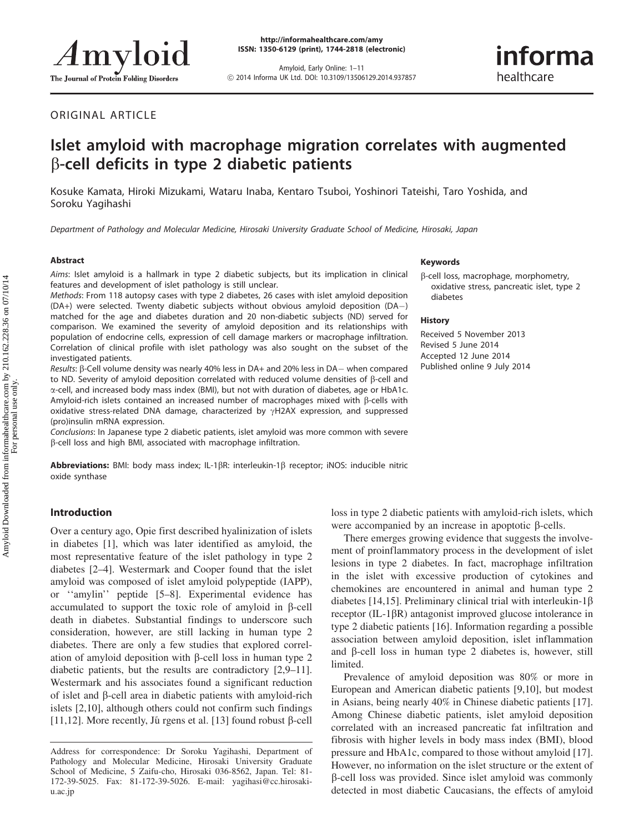Amyloid, Early Online: 1–11 ! 2014 Informa UK Ltd. DOI: 10.3109/13506129.2014.937857

# informa healthcare

ORIGINAL ARTICLE

## Islet amyloid with macrophage migration correlates with augmented  $\beta$ -cell deficits in type 2 diabetic patients

Kosuke Kamata, Hiroki Mizukami, Wataru Inaba, Kentaro Tsuboi, Yoshinori Tateishi, Taro Yoshida, and Soroku Yagihashi

Department of Pathology and Molecular Medicine, Hirosaki University Graduate School of Medicine, Hirosaki, Japan

#### Abstract

Aims: Islet amyloid is a hallmark in type 2 diabetic subjects, but its implication in clinical features and development of islet pathology is still unclear.

Methods: From 118 autopsy cases with type 2 diabetes, 26 cases with islet amyloid deposition (DA+) were selected. Twenty diabetic subjects without obvious amyloid deposition (DA-) matched for the age and diabetes duration and 20 non-diabetic subjects (ND) served for comparison. We examined the severity of amyloid deposition and its relationships with population of endocrine cells, expression of cell damage markers or macrophage infiltration. Correlation of clinical profile with islet pathology was also sought on the subset of the investigated patients.

Results: β-Cell volume density was nearly 40% less in DA+ and 20% less in DA– when compared to ND. Severity of amyloid deposition correlated with reduced volume densities of  $\beta$ -cell and a-cell, and increased body mass index (BMI), but not with duration of diabetes, age or HbA1c. Amyloid-rich islets contained an increased number of macrophages mixed with  $\beta$ -cells with oxidative stress-related DNA damage, characterized by  $\gamma$ H2AX expression, and suppressed (pro)insulin mRNA expression.

Conclusions: In Japanese type 2 diabetic patients, islet amyloid was more common with severe b-cell loss and high BMI, associated with macrophage infiltration.

**Abbreviations:** BMI: body mass index; IL-1 $\beta$ R: interleukin-1 $\beta$  receptor; iNOS: inducible nitric oxide synthase

#### Keywords

b-cell loss, macrophage, morphometry, oxidative stress, pancreatic islet, type 2 diabetes

#### History

Received 5 November 2013 Revised 5 June 2014 Accepted 12 June 2014 Published online 9 July 2014

## Introduction

Over a century ago, Opie first described hyalinization of islets in diabetes [\[1\]](#page-9-0), which was later identified as amyloid, the most representative feature of the islet pathology in type 2 diabetes [[2–4\]](#page-9-0). Westermark and Cooper found that the islet amyloid was composed of islet amyloid polypeptide (IAPP), or ''amylin'' peptide [[5–8\]](#page-9-0). Experimental evidence has accumulated to support the toxic role of amyloid in  $\beta$ -cell death in diabetes. Substantial findings to underscore such consideration, however, are still lacking in human type 2 diabetes. There are only a few studies that explored correlation of amyloid deposition with  $\beta$ -cell loss in human type 2 diabetic patients, but the results are contradictory [[2,9–11](#page-9-0)]. Westermark and his associates found a significant reduction of islet and  $\beta$ -cell area in diabetic patients with amyloid-rich islets [[2,10](#page-9-0)], although others could not confirm such findings [\[11](#page-9-0),[12\]](#page-9-0). More recently, Jungens et al. [[13\]](#page-9-0) found robust  $\beta$ -cell loss in type 2 diabetic patients with amyloid-rich islets, which were accompanied by an increase in apoptotic  $\beta$ -cells.

There emerges growing evidence that suggests the involvement of proinflammatory process in the development of islet lesions in type 2 diabetes. In fact, macrophage infiltration in the islet with excessive production of cytokines and chemokines are encountered in animal and human type 2 diabetes [[14](#page-9-0),[15\]](#page-9-0). Preliminary clinical trial with interleukin-1 $\beta$ receptor  $(IL-1\beta R)$  antagonist improved glucose intolerance in type 2 diabetic patients [[16\]](#page-9-0). Information regarding a possible association between amyloid deposition, islet inflammation and  $\beta$ -cell loss in human type 2 diabetes is, however, still limited.

Prevalence of amyloid deposition was 80% or more in European and American diabetic patients [[9,10](#page-9-0)], but modest in Asians, being nearly 40% in Chinese diabetic patients [\[17](#page-9-0)]. Among Chinese diabetic patients, islet amyloid deposition correlated with an increased pancreatic fat infiltration and fibrosis with higher levels in body mass index (BMI), blood pressure and HbA1c, compared to those without amyloid [\[17](#page-9-0)]. However, no information on the islet structure or the extent of b-cell loss was provided. Since islet amyloid was commonly detected in most diabetic Caucasians, the effects of amyloid

Address for correspondence: Dr Soroku Yagihashi, Department of Pathology and Molecular Medicine, Hirosaki University Graduate School of Medicine, 5 Zaifu-cho, Hirosaki 036-8562, Japan. Tel: 81- 172-39-5025. Fax: 81-172-39-5026. E-mail: yagihasi@cc.hirosakiu.ac.jp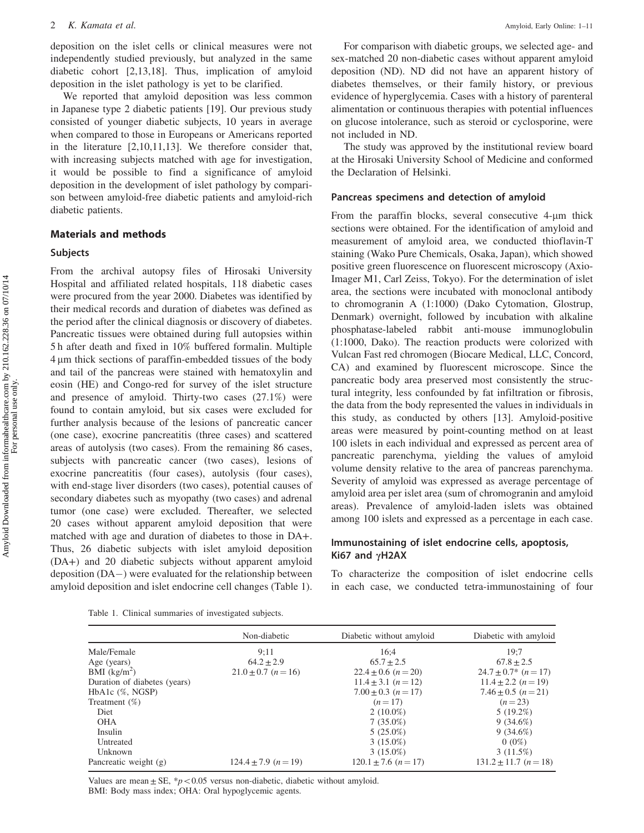<span id="page-1-0"></span>deposition on the islet cells or clinical measures were not independently studied previously, but analyzed in the same diabetic cohort [[2,13](#page-9-0),[18\]](#page-9-0). Thus, implication of amyloid deposition in the islet pathology is yet to be clarified.

We reported that amyloid deposition was less common in Japanese type 2 diabetic patients [[19\]](#page-9-0). Our previous study consisted of younger diabetic subjects, 10 years in average when compared to those in Europeans or Americans reported in the literature [\[2](#page-9-0),[10,11](#page-9-0),[13\]](#page-9-0). We therefore consider that, with increasing subjects matched with age for investigation, it would be possible to find a significance of amyloid deposition in the development of islet pathology by comparison between amyloid-free diabetic patients and amyloid-rich diabetic patients.

## Materials and methods

## Subjects

From the archival autopsy files of Hirosaki University Hospital and affiliated related hospitals, 118 diabetic cases were procured from the year 2000. Diabetes was identified by their medical records and duration of diabetes was defined as the period after the clinical diagnosis or discovery of diabetes. Pancreatic tissues were obtained during full autopsies within 5 h after death and fixed in 10% buffered formalin. Multiple 4 µm thick sections of paraffin-embedded tissues of the body and tail of the pancreas were stained with hematoxylin and eosin (HE) and Congo-red for survey of the islet structure and presence of amyloid. Thirty-two cases (27.1%) were found to contain amyloid, but six cases were excluded for further analysis because of the lesions of pancreatic cancer (one case), exocrine pancreatitis (three cases) and scattered areas of autolysis (two cases). From the remaining 86 cases, subjects with pancreatic cancer (two cases), lesions of exocrine pancreatitis (four cases), autolysis (four cases), with end-stage liver disorders (two cases), potential causes of secondary diabetes such as myopathy (two cases) and adrenal tumor (one case) were excluded. Thereafter, we selected 20 cases without apparent amyloid deposition that were matched with age and duration of diabetes to those in DA+. Thus, 26 diabetic subjects with islet amyloid deposition (DA+) and 20 diabetic subjects without apparent amyloid deposition (DA-) were evaluated for the relationship between amyloid deposition and islet endocrine cell changes (Table 1).

For comparison with diabetic groups, we selected age- and sex-matched 20 non-diabetic cases without apparent amyloid deposition (ND). ND did not have an apparent history of diabetes themselves, or their family history, or previous evidence of hyperglycemia. Cases with a history of parenteral alimentation or continuous therapies with potential influences on glucose intolerance, such as steroid or cyclosporine, were not included in ND.

The study was approved by the institutional review board at the Hirosaki University School of Medicine and conformed the Declaration of Helsinki.

#### Pancreas specimens and detection of amyloid

From the paraffin blocks, several consecutive  $4\text{-}\mu\text{m}$  thick sections were obtained. For the identification of amyloid and measurement of amyloid area, we conducted thioflavin-T staining (Wako Pure Chemicals, Osaka, Japan), which showed positive green fluorescence on fluorescent microscopy (Axio-Imager M1, Carl Zeiss, Tokyo). For the determination of islet area, the sections were incubated with monoclonal antibody to chromogranin A (1:1000) (Dako Cytomation, Glostrup, Denmark) overnight, followed by incubation with alkaline phosphatase-labeled rabbit anti-mouse immunoglobulin (1:1000, Dako). The reaction products were colorized with Vulcan Fast red chromogen (Biocare Medical, LLC, Concord, CA) and examined by fluorescent microscope. Since the pancreatic body area preserved most consistently the structural integrity, less confounded by fat infiltration or fibrosis, the data from the body represented the values in individuals in this study, as conducted by others [[13\]](#page-9-0). Amyloid-positive areas were measured by point-counting method on at least 100 islets in each individual and expressed as percent area of pancreatic parenchyma, yielding the values of amyloid volume density relative to the area of pancreas parenchyma. Severity of amyloid was expressed as average percentage of amyloid area per islet area (sum of chromogranin and amyloid areas). Prevalence of amyloid-laden islets was obtained among 100 islets and expressed as a percentage in each case.

## Immunostaining of islet endocrine cells, apoptosis, Ki67 and  $\gamma$ H2AX

To characterize the composition of islet endocrine cells in each case, we conducted tetra-immunostaining of four

Table 1. Clinical summaries of investigated subjects.

|                              | Non-diabetic             | Diabetic without amyloid   | Diabetic with amyloid     |  |
|------------------------------|--------------------------|----------------------------|---------------------------|--|
| Male/Female                  | 9:11                     | 16:4                       | 19:7                      |  |
| Age (years)                  | $64.2 \pm 2.9$           | $65.7 + 2.5$               | $67.8 \pm 2.5$            |  |
| BMI $(kg/m^2)$               | $21.0 \pm 0.7$ (n = 16)  | $22.4 \pm 0.6$ (n = 20)    | $24.7 \pm 0.7^*$ (n = 17) |  |
| Duration of diabetes (years) |                          | $11.4 \pm 3.1$ $(n = 12)$  | $11.4 \pm 2.2$ $(n=19)$   |  |
| HbA1c (%, NGSP)              |                          | $7.00 \pm 0.3$ (n = 17)    | $7.46 \pm 0.5$ $(n=21)$   |  |
| Treatment $(\%)$             |                          | $(n=17)$                   | $(n=23)$                  |  |
| Diet                         |                          | $2(10.0\%)$                | $5(19.2\%)$               |  |
| <b>OHA</b>                   |                          | $7(35.0\%)$                | $9(34.6\%)$               |  |
| Insulin                      |                          | $5(25.0\%)$                | $9(34.6\%)$               |  |
| Untreated                    |                          | $3(15.0\%)$                | $0(0\%)$                  |  |
| Unknown                      |                          | $3(15.0\%)$                | 3(11.5%)                  |  |
| Pancreatic weight (g)        | $124.4 + 7.9$ $(n = 19)$ | $120.1 \pm 7.6$ $(n = 17)$ | $131.2 \pm 11.7$ (n = 18) |  |

Values are mean  $\pm$  SE, \*p < 0.05 versus non-diabetic, diabetic without amyloid. BMI: Body mass index; OHA: Oral hypoglycemic agents.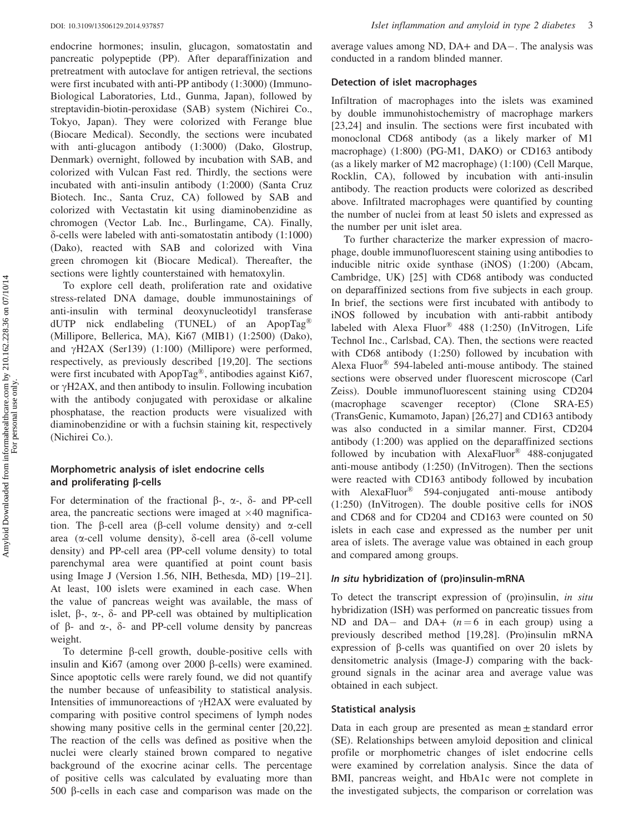endocrine hormones; insulin, glucagon, somatostatin and pancreatic polypeptide (PP). After deparaffinization and pretreatment with autoclave for antigen retrieval, the sections were first incubated with anti-PP antibody (1:3000) (Immuno-Biological Laboratories, Ltd., Gunma, Japan), followed by streptavidin-biotin-peroxidase (SAB) system (Nichirei Co., Tokyo, Japan). They were colorized with Ferange blue (Biocare Medical). Secondly, the sections were incubated with anti-glucagon antibody (1:3000) (Dako, Glostrup, Denmark) overnight, followed by incubation with SAB, and colorized with Vulcan Fast red. Thirdly, the sections were incubated with anti-insulin antibody (1:2000) (Santa Cruz Biotech. Inc., Santa Cruz, CA) followed by SAB and colorized with Vectastatin kit using diaminobenzidine as chromogen (Vector Lab. Inc., Burlingame, CA). Finally,  $\delta$ -cells were labeled with anti-somatostatin antibody (1:1000) (Dako), reacted with SAB and colorized with Vina green chromogen kit (Biocare Medical). Thereafter, the sections were lightly counterstained with hematoxylin.

To explore cell death, proliferation rate and oxidative stress-related DNA damage, double immunostainings of anti-insulin with terminal deoxynucleotidyl transferase dUTP nick endlabeling (TUNEL) of an ApopTag<sup>®</sup> (Millipore, Bellerica, MA), Ki67 (MIB1) (1:2500) (Dako), and  $\gamma$ H2AX (Ser139) (1:100) (Millipore) were performed, respectively, as previously described [[19,20](#page-9-0)]. The sections were first incubated with ApopTag®, antibodies against Ki67, or  $\gamma$ H2AX, and then antibody to insulin. Following incubation with the antibody conjugated with peroxidase or alkaline phosphatase, the reaction products were visualized with diaminobenzidine or with a fuchsin staining kit, respectively (Nichirei Co.).

## Morphometric analysis of islet endocrine cells and proliferating  $\beta$ -cells

For determination of the fractional  $\beta$ -,  $\alpha$ -,  $\delta$ - and PP-cell area, the pancreatic sections were imaged at  $\times$ 40 magnification. The  $\beta$ -cell area ( $\beta$ -cell volume density) and  $\alpha$ -cell area ( $\alpha$ -cell volume density),  $\delta$ -cell area ( $\delta$ -cell volume density) and PP-cell area (PP-cell volume density) to total parenchymal area were quantified at point count basis using Image J (Version 1.56, NIH, Bethesda, MD) [\[19–21](#page-9-0)]. At least, 100 islets were examined in each case. When the value of pancreas weight was available, the mass of islet,  $\beta$ -,  $\alpha$ -,  $\delta$ - and PP-cell was obtained by multiplication of  $\beta$ - and  $\alpha$ -,  $\delta$ - and PP-cell volume density by pancreas weight.

To determine  $\beta$ -cell growth, double-positive cells with insulin and Ki67 (among over 2000  $\beta$ -cells) were examined. Since apoptotic cells were rarely found, we did not quantify the number because of unfeasibility to statistical analysis. Intensities of immunoreactions of  $\gamma$ H2AX were evaluated by comparing with positive control specimens of lymph nodes showing many positive cells in the germinal center [[20,22](#page-9-0)]. The reaction of the cells was defined as positive when the nuclei were clearly stained brown compared to negative background of the exocrine acinar cells. The percentage of positive cells was calculated by evaluating more than 500 b-cells in each case and comparison was made on the

average values among ND, DA+ and DA-. The analysis was conducted in a random blinded manner.

#### Detection of islet macrophages

Infiltration of macrophages into the islets was examined by double immunohistochemistry of macrophage markers [\[23](#page-9-0),[24\]](#page-9-0) and insulin. The sections were first incubated with monoclonal CD68 antibody (as a likely marker of M1 macrophage) (1:800) (PG-M1, DAKO) or CD163 antibody (as a likely marker of M2 macrophage) (1:100) (Cell Marque, Rocklin, CA), followed by incubation with anti-insulin antibody. The reaction products were colorized as described above. Infiltrated macrophages were quantified by counting the number of nuclei from at least 50 islets and expressed as the number per unit islet area.

To further characterize the marker expression of macrophage, double immunofluorescent staining using antibodies to inducible nitric oxide synthase (iNOS) (1:200) (Abcam, Cambridge, UK) [\[25](#page-9-0)] with CD68 antibody was conducted on deparaffinized sections from five subjects in each group. In brief, the sections were first incubated with antibody to iNOS followed by incubation with anti-rabbit antibody labeled with Alexa Fluor® 488 (1:250) (InVitrogen, Life Technol Inc., Carlsbad, CA). Then, the sections were reacted with CD68 antibody (1:250) followed by incubation with Alexa Fluor® 594-labeled anti-mouse antibody. The stained sections were observed under fluorescent microscope (Carl Zeiss). Double immunofluorescent staining using CD204 (macrophage scavenger receptor) (Clone SRA-E5) (TransGenic, Kumamoto, Japan) [\[26](#page-9-0),[27\]](#page-9-0) and CD163 antibody was also conducted in a similar manner. First, CD204 antibody (1:200) was applied on the deparaffinized sections followed by incubation with AlexaFluor® 488-conjugated anti-mouse antibody (1:250) (InVitrogen). Then the sections were reacted with CD163 antibody followed by incubation with AlexaFluor<sup>®</sup> 594-conjugated anti-mouse antibody (1:250) (InVitrogen). The double positive cells for iNOS and CD68 and for CD204 and CD163 were counted on 50 islets in each case and expressed as the number per unit area of islets. The average value was obtained in each group and compared among groups.

#### In situ hybridization of (pro)insulin-mRNA

To detect the transcript expression of (pro)insulin, in situ hybridization (ISH) was performed on pancreatic tissues from ND and DA- and DA+  $(n=6$  in each group) using a previously described method [\[19](#page-9-0),[28\]](#page-9-0). (Pro)insulin mRNA expression of  $\beta$ -cells was quantified on over 20 islets by densitometric analysis (Image-J) comparing with the background signals in the acinar area and average value was obtained in each subject.

#### Statistical analysis

Data in each group are presented as mean  $\pm$  standard error (SE). Relationships between amyloid deposition and clinical profile or morphometric changes of islet endocrine cells were examined by correlation analysis. Since the data of BMI, pancreas weight, and HbA1c were not complete in the investigated subjects, the comparison or correlation was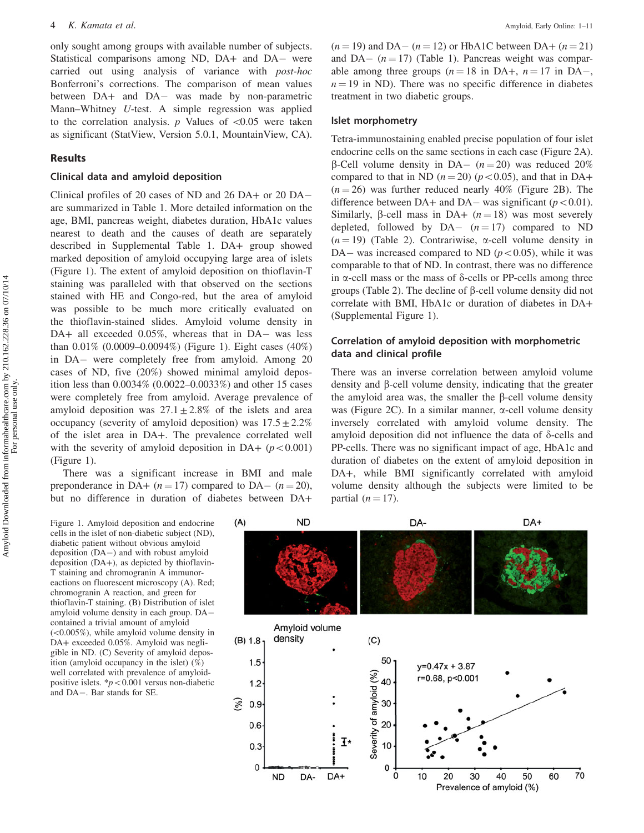only sought among groups with available number of subjects. Statistical comparisons among ND, DA+ and DA- were carried out using analysis of variance with post-hoc Bonferroni's corrections. The comparison of mean values between DA+ and DA- was made by non-parametric Mann–Whitney U-test. A simple regression was applied to the correlation analysis.  $p$  Values of  $< 0.05$  were taken as significant (StatView, Version 5.0.1, MountainView, CA).

## Results

#### Clinical data and amyloid deposition

Clinical profiles of 20 cases of ND and 26 DA+ or 20 DA are summarized in [Table 1.](#page-1-0) More detailed information on the age, BMI, pancreas weight, diabetes duration, HbA1c values nearest to death and the causes of death are separately described in Supplemental [Table 1.](#page-1-0) DA+ group showed marked deposition of amyloid occupying large area of islets (Figure 1). The extent of amyloid deposition on thioflavin-T staining was paralleled with that observed on the sections stained with HE and Congo-red, but the area of amyloid was possible to be much more critically evaluated on the thioflavin-stained slides. Amyloid volume density in DA+ all exceeded 0.05%, whereas that in DA- was less than 0.01% (0.0009–0.0094%) (Figure 1). Eight cases (40%) in DA- were completely free from amyloid. Among 20 cases of ND, five (20%) showed minimal amyloid deposition less than 0.0034% (0.0022–0.0033%) and other 15 cases were completely free from amyloid. Average prevalence of amyloid deposition was  $27.1 \pm 2.8\%$  of the islets and area occupancy (severity of amyloid deposition) was  $17.5 \pm 2.2\%$ of the islet area in DA+. The prevalence correlated well with the severity of amyloid deposition in DA+  $(p<0.001)$ (Figure 1).

There was a significant increase in BMI and male preponderance in DA+  $(n = 17)$  compared to DA-  $(n = 20)$ , but no difference in duration of diabetes between DA+

Figure 1. Amyloid deposition and endocrine cells in the islet of non-diabetic subject (ND), diabetic patient without obvious amyloid deposition (DA-) and with robust amyloid deposition (DA+), as depicted by thioflavin-T staining and chromogranin A immunoreactions on fluorescent microscopy (A). Red; chromogranin A reaction, and green for thioflavin-T staining. (B) Distribution of islet amyloid volume density in each group. DA contained a trivial amount of amyloid  $(<0.005\%)$ , while amyloid volume density in DA+ exceeded 0.05%. Amyloid was negligible in ND. (C) Severity of amyloid deposition (amyloid occupancy in the islet) (%) well correlated with prevalence of amyloidpositive islets.  $\frac{*p}{0.001}$  versus non-diabetic and DA-. Bar stands for SE.

 $(n = 19)$  and DA–  $(n = 12)$  or HbA1C between DA+  $(n = 21)$ and DA- $(n = 17)$  ([Table 1](#page-1-0)). Pancreas weight was comparable among three groups  $(n = 18 \text{ in DA}+, n = 17 \text{ in DA}$  $n = 19$  in ND). There was no specific difference in diabetes treatment in two diabetic groups.

#### Islet morphometry

Tetra-immunostaining enabled precise population of four islet endocrine cells on the same sections in each case [\(Figure 2A](#page-4-0)).  $\beta$ -Cell volume density in DA- ( $n = 20$ ) was reduced 20% compared to that in ND ( $n = 20$ ) ( $p < 0.05$ ), and that in DA+  $(n = 26)$  was further reduced nearly 40% ([Figure 2B\)](#page-4-0). The difference between DA+ and DA– was significant ( $p < 0.01$ ). Similarly,  $\beta$ -cell mass in DA+  $(n = 18)$  was most severely depleted, followed by  $DA (n=17)$  compared to ND  $(n = 19)$  ([Table 2](#page-4-0)). Contrariwise,  $\alpha$ -cell volume density in DA– was increased compared to ND ( $p<0.05$ ), while it was comparable to that of ND. In contrast, there was no difference in  $\alpha$ -cell mass or the mass of  $\delta$ -cells or PP-cells among three groups ([Table 2\)](#page-4-0). The decline of  $\beta$ -cell volume density did not correlate with BMI, HbA1c or duration of diabetes in DA+ (Supplemental Figure 1).

## Correlation of amyloid deposition with morphometric data and clinical profile

There was an inverse correlation between amyloid volume density and  $\beta$ -cell volume density, indicating that the greater the amyloid area was, the smaller the  $\beta$ -cell volume density was ([Figure 2C](#page-4-0)). In a similar manner,  $\alpha$ -cell volume density inversely correlated with amyloid volume density. The amyloid deposition did not influence the data of  $\delta$ -cells and PP-cells. There was no significant impact of age, HbA1c and duration of diabetes on the extent of amyloid deposition in DA+, while BMI significantly correlated with amyloid volume density although the subjects were limited to be partial  $(n = 17)$ .

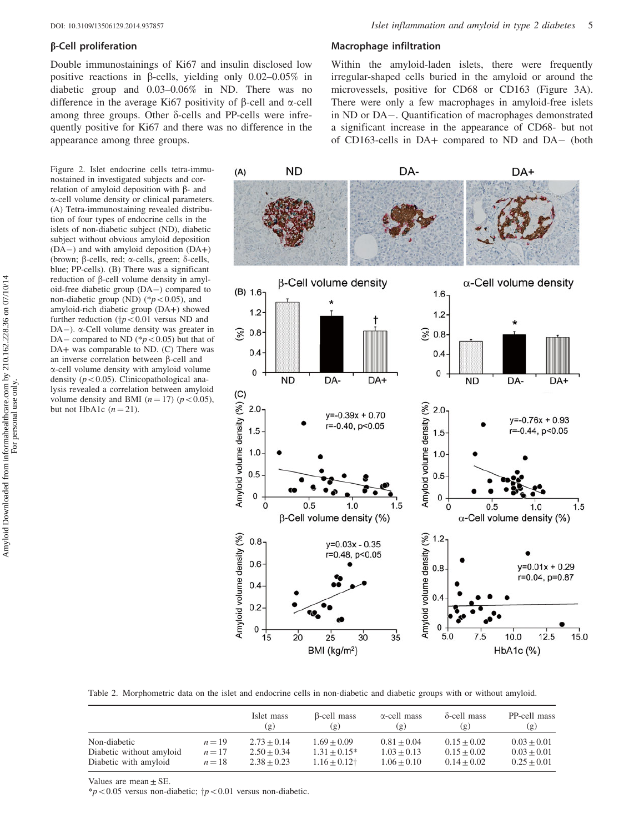#### <span id="page-4-0"></span>b-Cell proliferation

Double immunostainings of Ki67 and insulin disclosed low positive reactions in  $\beta$ -cells, yielding only 0.02–0.05% in diabetic group and 0.03–0.06% in ND. There was no difference in the average Ki67 positivity of  $\beta$ -cell and  $\alpha$ -cell among three groups. Other  $\delta$ -cells and PP-cells were infrequently positive for Ki67 and there was no difference in the appearance among three groups.

Figure 2. Islet endocrine cells tetra-immunostained in investigated subjects and correlation of amyloid deposition with  $\beta$ - and a-cell volume density or clinical parameters. (A) Tetra-immunostaining revealed distribution of four types of endocrine cells in the islets of non-diabetic subject (ND), diabetic subject without obvious amyloid deposition (DA-) and with amyloid deposition (DA+) (brown;  $\beta$ -cells, red;  $\alpha$ -cells, green;  $\delta$ -cells, blue; PP-cells). (B) There was a significant reduction of  $\beta$ -cell volume density in amyloid-free diabetic group (DA-) compared to non-diabetic group (ND) ( $p<0.05$ ), and amyloid-rich diabetic group (DA+) showed further reduction ( $\frac{1}{7}p<0.01$  versus ND and DA-). a-Cell volume density was greater in DA – compared to ND ( $\degree p$  < 0.05) but that of DA+ was comparable to ND. (C) There was an inverse correlation between  $\beta$ -cell and a-cell volume density with amyloid volume density ( $p<0.05$ ). Clinicopathological analysis revealed a correlation between amyloid volume density and BMI  $(n = 17)$   $(p < 0.05)$ , but not HbA1c  $(n=21)$ .

#### Macrophage infiltration

Within the amyloid-laden islets, there were frequently irregular-shaped cells buried in the amyloid or around the microvessels, positive for CD68 or CD163 ([Figure 3A](#page-5-0)). There were only a few macrophages in amyloid-free islets in ND or DA-. Quantification of macrophages demonstrated a significant increase in the appearance of CD68- but not of CD163-cells in DA+ compared to ND and DA- (both



Table 2. Morphometric data on the islet and endocrine cells in non-diabetic and diabetic groups with or without amyloid.

|                          |          | Islet mass<br>$(\mathfrak{g})$ | β-cell mass<br>(g)         | $\alpha$ -cell mass<br>(g) | $\delta$ -cell mass<br>(g) | PP-cell mass<br>(g) |
|--------------------------|----------|--------------------------------|----------------------------|----------------------------|----------------------------|---------------------|
| Non-diabetic             | $n = 19$ | $2.73 + 0.14$                  | $1.69 + 0.09$              | $0.81 + 0.04$              | $0.15 + 0.02$              | $0.03 + 0.01$       |
| Diabetic without amyloid | $n=17$   | $2.50 + 0.34$                  | $1.31 + 0.15*$             | $1.03 + 0.13$              | $0.15 + 0.02$              | $0.03 + 0.01$       |
| Diabetic with amyloid    | $n=18$   | $2.38 + 0.23$                  | $1.16 + 0.12$ <sup>+</sup> | $1.06 + 0.10$              | $0.14 + 0.02$              | $0.25 + 0.01$       |

Values are mean + SE.

 $*p<0.05$  versus non-diabetic;  $\uparrow p<0.01$  versus non-diabetic.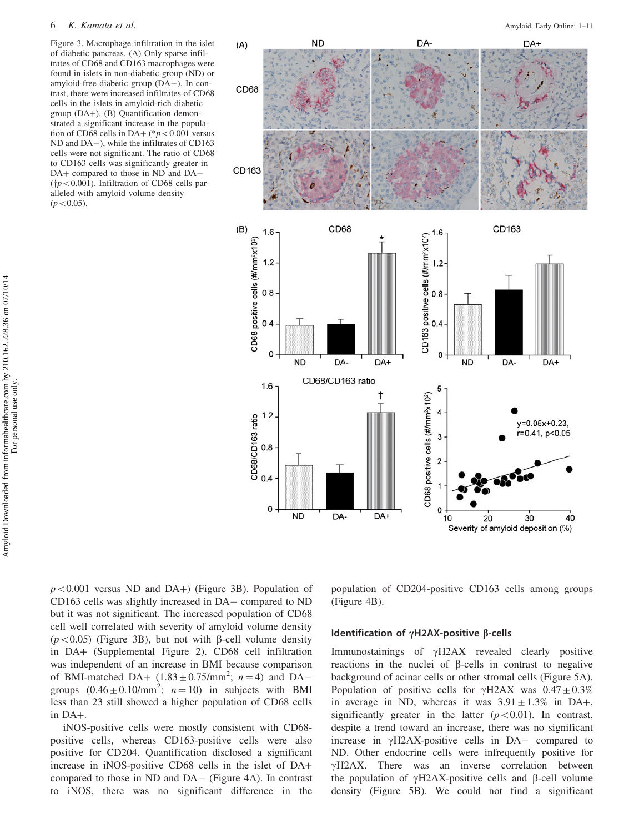#### <span id="page-5-0"></span>6 K. Kamata et al. Amyloid, Early Online: 1–11

Figure 3. Macrophage infiltration in the islet of diabetic pancreas. (A) Only sparse infiltrates of CD68 and CD163 macrophages were found in islets in non-diabetic group (ND) or amyloid-free diabetic group (DA-). In contrast, there were increased infiltrates of CD68 cells in the islets in amyloid-rich diabetic group (DA+). (B) Quantification demonstrated a significant increase in the population of CD68 cells in DA+ (\* $p < 0.001$  versus ND and DA-), while the infiltrates of CD163 cells were not significant. The ratio of CD68 to CD163 cells was significantly greater in DA+ compared to those in ND and DA- ( $\uparrow p$ <0.001). Infiltration of CD68 cells paralleled with amyloid volume density  $(p<0.05)$ .



Amyloid Downloaded from informahealthcare.com by 210.162.228.36 on 07/10/14<br>For personal use only. Amyloid Downloaded from informahealthcare.com by 210.162.228.36 on 07/10/14 For personal use only.

> $p<0.001$  versus ND and DA+) (Figure 3B). Population of CD163 cells was slightly increased in DA- compared to ND but it was not significant. The increased population of CD68 cell well correlated with severity of amyloid volume density ( $p<0.05$ ) (Figure 3B), but not with  $\beta$ -cell volume density in DA+ (Supplemental Figure 2). CD68 cell infiltration was independent of an increase in BMI because comparison of BMI-matched DA+  $(1.83 \pm 0.75/\text{mm}^2; n = 4)$  and DAgroups  $(0.46 \pm 0.10/\text{mm}^2)$ ;  $n = 10$ ) in subjects with BMI less than 23 still showed a higher population of CD68 cells in DA+.

> iNOS-positive cells were mostly consistent with CD68 positive cells, whereas CD163-positive cells were also positive for CD204. Quantification disclosed a significant increase in iNOS-positive CD68 cells in the islet of DA+ compared to those in ND and DA- ([Figure 4A](#page-6-0)). In contrast to iNOS, there was no significant difference in the

population of CD204-positive CD163 cells among groups [\(Figure 4B](#page-6-0)).

## Identification of  $\gamma$ H2AX-positive  $\beta$ -cells

Immunostainings of  $\gamma$ H2AX revealed clearly positive reactions in the nuclei of  $\beta$ -cells in contrast to negative background of acinar cells or other stromal cells [\(Figure 5A](#page-7-0)). Population of positive cells for  $\gamma$ H2AX was  $0.47 \pm 0.3\%$ in average in ND, whereas it was  $3.91 \pm 1.3\%$  in DA+, significantly greater in the latter  $(p<0.01)$ . In contrast, despite a trend toward an increase, there was no significant increase in  $\gamma$ H2AX-positive cells in DA- compared to ND. Other endocrine cells were infrequently positive for  $\gamma$ H2AX. There was an inverse correlation between the population of  $\gamma$ H2AX-positive cells and  $\beta$ -cell volume density ([Figure 5B\)](#page-7-0). We could not find a significant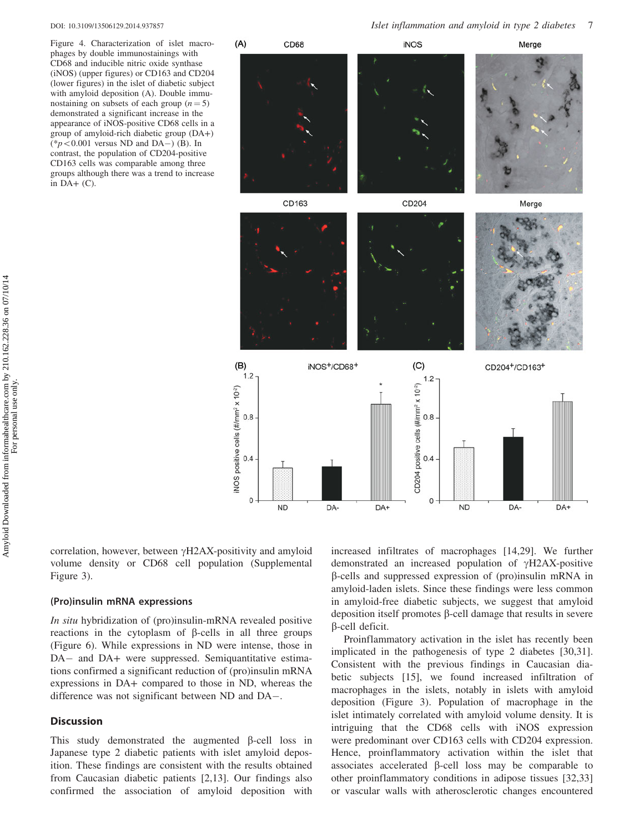<span id="page-6-0"></span>

Figure 4. Characterization of islet macrophages by double immunostainings with CD68 and inducible nitric oxide synthase (iNOS) (upper figures) or CD163 and CD204 (lower figures) in the islet of diabetic subject with amyloid deposition (A). Double immunostaining on subsets of each group  $(n = 5)$ demonstrated a significant increase in the appearance of iNOS-positive CD68 cells in a group of amyloid-rich diabetic group (DA+)  $(*p<0.001$  versus ND and DA-) (B). In contrast, the population of CD204-positive CD163 cells was comparable among three groups although there was a trend to increase in  $DA+$  (C).



correlation, however, between  $\gamma$ H2AX-positivity and amyloid volume density or CD68 cell population (Supplemental Figure 3).

#### (Pro)insulin mRNA expressions

In situ hybridization of (pro)insulin-mRNA revealed positive reactions in the cytoplasm of  $\beta$ -cells in all three groups [\(Figure 6](#page-8-0)). While expressions in ND were intense, those in DA- and DA+ were suppressed. Semiquantitative estimations confirmed a significant reduction of (pro)insulin mRNA expressions in DA+ compared to those in ND, whereas the difference was not significant between ND and DA-.

## **Discussion**

This study demonstrated the augmented  $\beta$ -cell loss in Japanese type 2 diabetic patients with islet amyloid deposition. These findings are consistent with the results obtained from Caucasian diabetic patients [[2,13](#page-9-0)]. Our findings also confirmed the association of amyloid deposition with

increased infiltrates of macrophages [\[14,29](#page-9-0)]. We further demonstrated an increased population of  $\gamma$ H2AX-positive  $\beta$ -cells and suppressed expression of (pro)insulin mRNA in amyloid-laden islets. Since these findings were less common in amyloid-free diabetic subjects, we suggest that amyloid deposition itself promotes  $\beta$ -cell damage that results in severe  $\beta$ -cell deficit.

Proinflammatory activation in the islet has recently been implicated in the pathogenesis of type 2 diabetes [[30,31](#page-9-0)]. Consistent with the previous findings in Caucasian diabetic subjects [\[15](#page-9-0)], we found increased infiltration of macrophages in the islets, notably in islets with amyloid deposition [\(Figure 3\)](#page-5-0). Population of macrophage in the islet intimately correlated with amyloid volume density. It is intriguing that the CD68 cells with iNOS expression were predominant over CD163 cells with CD204 expression. Hence, proinflammatory activation within the islet that associates accelerated  $\beta$ -cell loss may be comparable to other proinflammatory conditions in adipose tissues [\[32](#page-9-0),[33\]](#page-9-0) or vascular walls with atherosclerotic changes encountered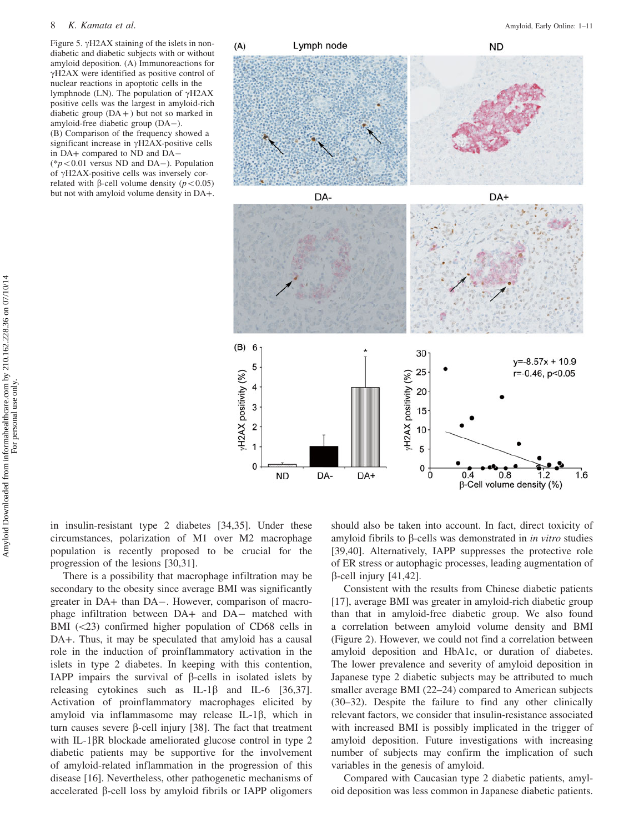#### <span id="page-7-0"></span>8 K. Kamata et al. Amyloid, Early Online: 1–11

Figure 5.  $\gamma$ H2AX staining of the islets in nondiabetic and diabetic subjects with or without amyloid deposition. (A) Immunoreactions for  $\gamma$ H2AX were identified as positive control of nuclear reactions in apoptotic cells in the lymphnode (LN). The population of  $\gamma$ H2AX positive cells was the largest in amyloid-rich diabetic group  $(DA + )$  but not so marked in amyloid-free diabetic group (DA-). (B) Comparison of the frequency showed a

significant increase in  $\gamma$ H2AX-positive cells in DA+ compared to ND and DA- ( $np<0.01$  versus ND and DA-). Population of  $\gamma$ H2AX-positive cells was inversely correlated with  $\beta$ -cell volume density ( $p < 0.05$ )

but not with amyloid volume density in DA+.



in insulin-resistant type 2 diabetes [\[34](#page-9-0),[35\]](#page-9-0). Under these circumstances, polarization of M1 over M2 macrophage population is recently proposed to be crucial for the progression of the lesions [\[30](#page-9-0),[31\]](#page-9-0).

There is a possibility that macrophage infiltration may be secondary to the obesity since average BMI was significantly greater in DA+ than DA-. However, comparison of macrophage infiltration between DA+ and DA- matched with BMI  $(\leq 23)$  confirmed higher population of CD68 cells in DA+. Thus, it may be speculated that amyloid has a causal role in the induction of proinflammatory activation in the islets in type 2 diabetes. In keeping with this contention, IAPP impairs the survival of  $\beta$ -cells in isolated islets by releasing cytokines such as  $IL-1\beta$  and  $IL-6$  [[36,37](#page-9-0)]. Activation of proinflammatory macrophages elicited by amyloid via inflammasome may release IL-1 $\beta$ , which in turn causes severe  $\beta$ -cell injury [\[38](#page-9-0)]. The fact that treatment with IL-1 $\beta$ R blockade ameliorated glucose control in type 2 diabetic patients may be supportive for the involvement of amyloid-related inflammation in the progression of this disease [[16\]](#page-9-0). Nevertheless, other pathogenetic mechanisms of accelerated  $\beta$ -cell loss by amyloid fibrils or IAPP oligomers should also be taken into account. In fact, direct toxicity of amyloid fibrils to  $\beta$ -cells was demonstrated in *in vitro* studies [\[39](#page-9-0),[40\]](#page-9-0). Alternatively, IAPP suppresses the protective role of ER stress or autophagic processes, leading augmentation of  $\beta$ -cell injury [\[41](#page-10-0),[42\]](#page-10-0).

Consistent with the results from Chinese diabetic patients [\[17](#page-9-0)], average BMI was greater in amyloid-rich diabetic group than that in amyloid-free diabetic group. We also found a correlation between amyloid volume density and BMI [\(Figure 2](#page-4-0)). However, we could not find a correlation between amyloid deposition and HbA1c, or duration of diabetes. The lower prevalence and severity of amyloid deposition in Japanese type 2 diabetic subjects may be attributed to much smaller average BMI (22–24) compared to American subjects (30–32). Despite the failure to find any other clinically relevant factors, we consider that insulin-resistance associated with increased BMI is possibly implicated in the trigger of amyloid deposition. Future investigations with increasing number of subjects may confirm the implication of such variables in the genesis of amyloid.

Compared with Caucasian type 2 diabetic patients, amyloid deposition was less common in Japanese diabetic patients.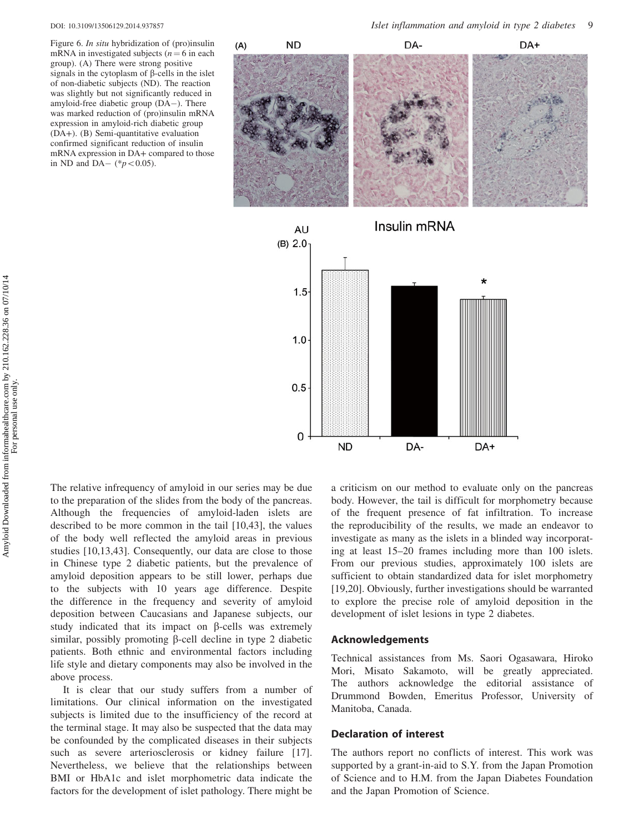<span id="page-8-0"></span>

Figure 6. In situ hybridization of (pro)insulin mRNA in investigated subjects ( $n = 6$  in each group). (A) There were strong positive signals in the cytoplasm of  $\beta$ -cells in the islet of non-diabetic subjects (ND). The reaction was slightly but not significantly reduced in amyloid-free diabetic group (DA-). There was marked reduction of (pro)insulin mRNA expression in amyloid-rich diabetic group (DA+). (B) Semi-quantitative evaluation confirmed significant reduction of insulin mRNA expression in DA+ compared to those in ND and DA $-$  (\* $p < 0.05$ ).





The relative infrequency of amyloid in our series may be due to the preparation of the slides from the body of the pancreas. Although the frequencies of amyloid-laden islets are described to be more common in the tail [\[10](#page-9-0),[43\]](#page-10-0), the values of the body well reflected the amyloid areas in previous studies [\[10](#page-9-0),[13](#page-9-0)[,43](#page-10-0)]. Consequently, our data are close to those in Chinese type 2 diabetic patients, but the prevalence of amyloid deposition appears to be still lower, perhaps due to the subjects with 10 years age difference. Despite the difference in the frequency and severity of amyloid deposition between Caucasians and Japanese subjects, our study indicated that its impact on  $\beta$ -cells was extremely similar, possibly promoting  $\beta$ -cell decline in type 2 diabetic patients. Both ethnic and environmental factors including life style and dietary components may also be involved in the above process.

It is clear that our study suffers from a number of limitations. Our clinical information on the investigated subjects is limited due to the insufficiency of the record at the terminal stage. It may also be suspected that the data may be confounded by the complicated diseases in their subjects such as severe arteriosclerosis or kidney failure [\[17](#page-9-0)]. Nevertheless, we believe that the relationships between BMI or HbA1c and islet morphometric data indicate the factors for the development of islet pathology. There might be

a criticism on our method to evaluate only on the pancreas body. However, the tail is difficult for morphometry because of the frequent presence of fat infiltration. To increase the reproducibility of the results, we made an endeavor to investigate as many as the islets in a blinded way incorporating at least 15–20 frames including more than 100 islets. From our previous studies, approximately 100 islets are sufficient to obtain standardized data for islet morphometry [\[19](#page-9-0),[20\]](#page-9-0). Obviously, further investigations should be warranted to explore the precise role of amyloid deposition in the development of islet lesions in type 2 diabetes.

#### Acknowledgements

Technical assistances from Ms. Saori Ogasawara, Hiroko Mori, Misato Sakamoto, will be greatly appreciated. The authors acknowledge the editorial assistance of Drummond Bowden, Emeritus Professor, University of Manitoba, Canada.

#### Declaration of interest

The authors report no conflicts of interest. This work was supported by a grant-in-aid to S.Y. from the Japan Promotion of Science and to H.M. from the Japan Diabetes Foundation and the Japan Promotion of Science.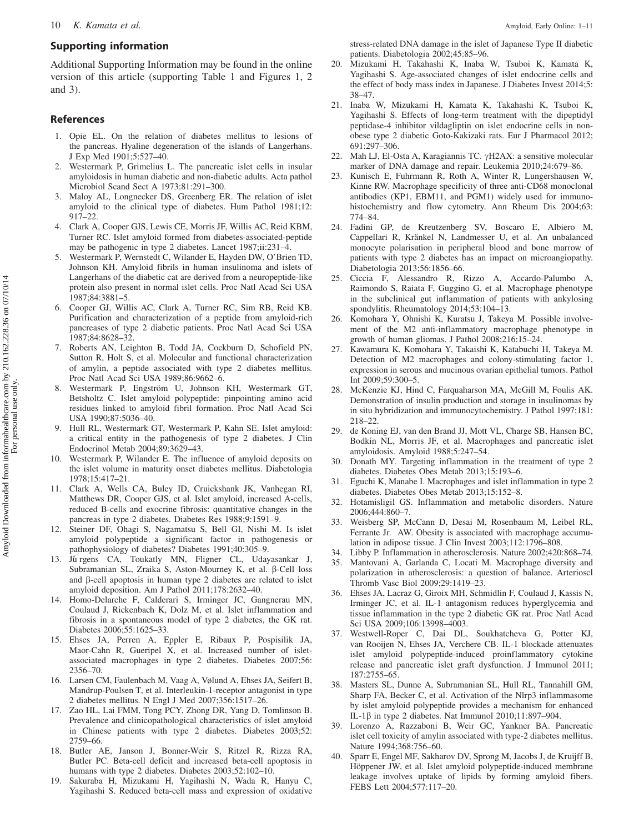## <span id="page-9-0"></span>Supporting information

Additional Supporting Information may be found in the online version of this article (supporting Table 1 and Figures 1, 2 and 3).

## References

- 1. Opie EL. On the relation of diabetes mellitus to lesions of the pancreas. Hyaline degeneration of the islands of Langerhans. J Exp Med 1901;5:527–40.
- 2. Westermark P, Grimelius L. The pancreatic islet cells in insular amyloidosis in human diabetic and non-diabetic adults. Acta pathol Microbiol Scand Sect A 1973;81:291–300.
- 3. Maloy AL, Longnecker DS, Greenberg ER. The relation of islet amyloid to the clinical type of diabetes. Hum Pathol 1981;12: 917–22.
- 4. Clark A, Cooper GJS, Lewis CE, Morris JF, Willis AC, Reid KBM, Turner RC. Islet amyloid formed from diabetes-associated-peptide may be pathogenic in type 2 diabetes. Lancet 1987;ii:231–4.
- 5. Westermark P, Wernstedt C, Wilander E, Hayden DW, O'Brien TD, Johnson KH. Amyloid fibrils in human insulinoma and islets of Langerhans of the diabetic cat are derived from a neuropeptide-like protein also present in normal islet cells. Proc Natl Acad Sci USA 1987;84:3881–5.
- 6. Cooper GJ, Willis AC, Clark A, Turner RC, Sim RB, Reid KB. Purification and characterization of a peptide from amyloid-rich pancreases of type 2 diabetic patients. Proc Natl Acad Sci USA 1987;84:8628–32.
- 7. Roberts AN, Leighton B, Todd JA, Cockburn D, Schofield PN, Sutton R, Holt S, et al. Molecular and functional characterization of amylin, a peptide associated with type 2 diabetes mellitus. Proc Natl Acad Sci USA 1989;86:9662–6.
- 8. Westermark P, Engström U, Johnson KH, Westermark GT, Betsholtz C. Islet amyloid polypeptide: pinpointing amino acid residues linked to amyloid fibril formation. Proc Natl Acad Sci USA 1990;87:5036–40.
- 9. Hull RL, Westermark GT, Westermark P, Kahn SE. Islet amyloid: a critical entity in the pathogenesis of type 2 diabetes. J Clin Endocrinol Metab 2004;89:3629–43.
- 10. Westermark P, Wilander E. The influence of amyloid deposits on the islet volume in maturity onset diabetes mellitus. Diabetologia 1978;15:417–21.
- 11. Clark A, Wells CA, Buley ID, Cruickshank JK, Vanhegan RI, Matthews DR, Cooper GJS, et al. Islet amyloid, increased A-cells, reduced B-cells and exocrine fibrosis: quantitative changes in the pancreas in type 2 diabetes. Diabetes Res 1988;9:1591–9.
- 12. Steiner DF, Ohagi S, Nagamatsu S, Bell GI, Nishi M. Is islet amyloid polypeptide a significant factor in pathogenesis or pathophysiology of diabetes? Diabetes 1991;40:305–9.
- 13. Jű rgens CA, Toukatly MN, Fligner CL, Udayasankar J, Subramanian SL, Zraika S, Aston-Mourney K, et al. β-Cell loss and  $\beta$ -cell apoptosis in human type 2 diabetes are related to islet amyloid deposition. Am J Pathol 2011;178:2632–40.
- 14. Homo-Delarche F, Calderari S, Irminger JC, Gangnerau MN, Coulaud J, Rickenbach K, Dolz M, et al. Islet inflammation and fibrosis in a spontaneous model of type 2 diabetes, the GK rat. Diabetes 2006;55:1625–33.
- 15. Ehses JA, Perren A, Eppler E, Ribaux P, Pospisilik JA, Maor-Cahn R, Gueripel X, et al. Increased number of isletassociated macrophages in type 2 diabetes. Diabetes 2007;56: 2356–70.
- 16. Larsen CM, Faulenbach M, Vaag A, Vølund A, Ehses JA, Seifert B, Mandrup-Poulsen T, et al. Interleukin-1-receptor antagonist in type 2 diabetes mellitus. N Engl J Med 2007;356:1517–26.
- 17. Zao HL, Lai FMM, Tong PCY, Zhong DR, Yang D, Tomlinson B. Prevalence and clinicopathological characteristics of islet amyloid in Chinese patients with type 2 diabetes. Diabetes 2003;52: 2759–66.
- 18. Butler AE, Janson J, Bonner-Weir S, Ritzel R, Rizza RA, Butler PC. Beta-cell deficit and increased beta-cell apoptosis in humans with type 2 diabetes. Diabetes 2003;52:102-10.
- 19. Sakuraba H, Mizukami H, Yagihashi N, Wada R, Hanyu C, Yagihashi S. Reduced beta-cell mass and expression of oxidative

stress-related DNA damage in the islet of Japanese Type II diabetic patients. Diabetologia 2002;45:85–96.

- 20. Mizukami H, Takahashi K, Inaba W, Tsuboi K, Kamata K, Yagihashi S. Age-associated changes of islet endocrine cells and the effect of body mass index in Japanese. J Diabetes Invest 2014;5: 38–47.
- 21. Inaba W, Mizukami H, Kamata K, Takahashi K, Tsuboi K, Yagihashi S. Effects of long-term treatment with the dipeptidyl peptidase-4 inhibitor vildagliptin on islet endocrine cells in nonobese type 2 diabetic Goto-Kakizaki rats. Eur J Pharmacol 2012; 691:297–306.
- 22. Mah LJ, El-Osta A, Karagiannis TC. γH2AX: a sensitive molecular marker of DNA damage and repair. Leukemia 2010;24:679–86.
- 23. Kunisch E, Fuhrmann R, Roth A, Winter R, Lungershausen W, Kinne RW. Macrophage specificity of three anti-CD68 monoclonal antibodies (KP1, EBM11, and PGM1) widely used for immunohistochemistry and flow cytometry. Ann Rheum Dis 2004;63: 774–84.
- 24. Fadini GP, de Kreutzenberg SV, Boscaro E, Albiero M, Cappellari R, Kränkel N, Landmesser U, et al. An unbalanced monocyte polarisation in peripheral blood and bone marrow of patients with type 2 diabetes has an impact on microangiopathy. Diabetologia 2013;56:1856–66.
- 25. Ciccia F, Alessandro R, Rizzo A, Accardo-Palumbo A, Raimondo S, Raiata F, Guggino G, et al. Macrophage phenotype in the subclinical gut inflammation of patients with ankylosing spondylitis. Rheumatology 2014;53:104–13.
- 26. Komohara Y, Ohnishi K, Kuratsu J, Takeya M. Possible involvement of the M2 anti-inflammatory macrophage phenotype in growth of human gliomas. J Pathol 2008;216:15–24.
- 27. Kawamura K, Komohara Y, Takaishi K, Katabuchi H, Takeya M. Detection of M2 macrophages and colony-stimulating factor 1, expression in serous and mucinous ovarian epithelial tumors. Pathol Int 2009;59:300–5.
- 28. McKenzie KJ, Hind C, Farquaharson MA, McGill M, Foulis AK. Demonstration of insulin production and storage in insulinomas by in situ hybridization and immunocytochemistry. J Pathol 1997;181: 218–22.
- 29. de Koning EJ, van den Brand JJ, Mott VL, Charge SB, Hansen BC, Bodkin NL, Morris JF, et al. Macrophages and pancreatic islet amyloidosis. Amyloid 1988;5:247–54.
- 30. Donath MY. Targeting inflammation in the treatment of type 2 diabetes. Diabetes Obes Metab 2013;15:193–6.
- 31. Eguchi K, Manabe I. Macrophages and islet inflammation in type 2 diabetes. Diabetes Obes Metab 2013;15:152–8.
- 32. Hotamisligil GS. Inflammation and metabolic disorders. Nature 2006;444:860–7.
- 33. Weisberg SP, McCann D, Desai M, Rosenbaum M, Leibel RL, Ferrante Jr. AW. Obesity is associated with macrophage accumulation in adipose tissue. J Clin Invest 2003;112:1796–808.
- 34. Libby P. Inflammation in atherosclerosis. Nature 2002;420:868–74.
- 35. Mantovani A, Garlanda C, Locati M. Macrophage diversity and polarization in atherosclerosis: a question of balance. Arterioscl Thromb Vasc Biol 2009;29:1419–23.
- 36. Ehses JA, Lacraz G, Giroix MH, Schmidlin F, Coulaud J, Kassis N, Irminger JC, et al. IL-1 antagonism reduces hyperglycemia and tissue inflammation in the type 2 diabetic GK rat. Proc Natl Acad Sci USA 2009;106:13998–4003.
- 37. Westwell-Roper C, Dai DL, Soukhatcheva G, Potter KJ, van Rooijen N, Ehses JA, Verchere CB. IL-1 blockade attenuates islet amyloid polypeptide-induced proinflammatory cytokine release and pancreatic islet graft dysfunction. J Immunol 2011; 187:2755–65.
- 38. Masters SL, Dunne A, Subramanian SL, Hull RL, Tannahill GM, Sharp FA, Becker C, et al. Activation of the Nlrp3 inflammasome by islet amyloid polypeptide provides a mechanism for enhanced IL-1 $\beta$  in type 2 diabetes. Nat Immunol 2010;11:897–904.
- 39. Lorenzo A, Razzaboni B, Weir GC, Yankner BA. Pancreatic islet cell toxicity of amylin associated with type-2 diabetes mellitus. Nature 1994;368:756–60.
- 40. Sparr E, Engel MF, Sakharov DV, Sprong M, Jacobs J, de Kruijff B, Höppener JW, et al. Islet amyloid polypeptide-induced membrane leakage involves uptake of lipids by forming amyloid fibers. FEBS Lett 2004;577:117–20.